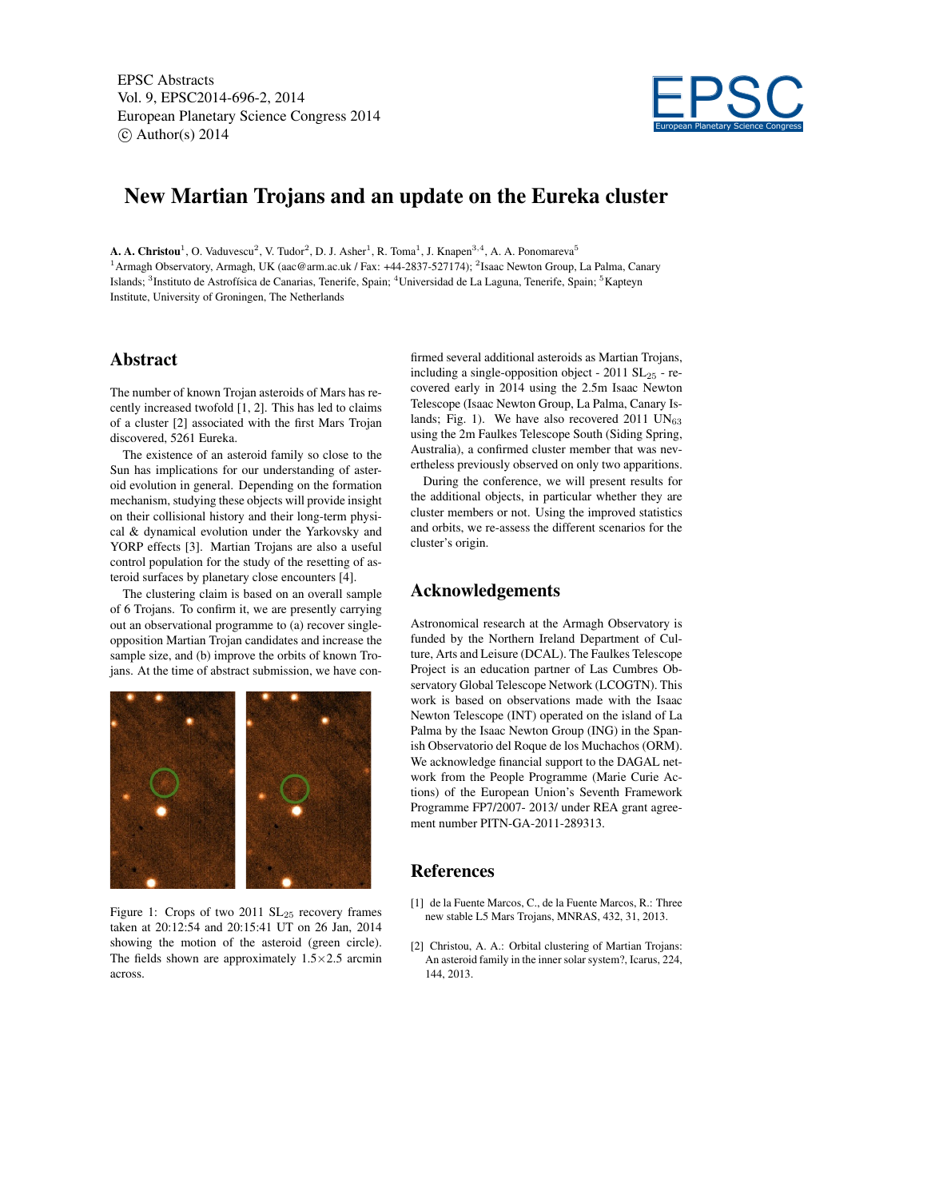EPSC Abstracts Vol. 9, EPSC2014-696-2, 2014 European Planetary Science Congress 2014  $\circ$  Author(s) 2014



## New Martian Trojans and an update on the Eureka cluster

**A. A. Christou**<sup>1</sup>, O. Vaduvescu<sup>2</sup>, V. Tudor<sup>2</sup>, D. J. Asher<sup>1</sup>, R. Toma<sup>1</sup>, J. Knapen<sup>3,4</sup>, A. A. Ponomareva<sup>5</sup> <sup>1</sup> Armagh Observatory, Armagh, UK (aac@arm.ac.uk / Fax: +44-2837-527174); <sup>2</sup> Isaac Newton Group, La Palma, Canary Islands; <sup>3</sup>Instituto de Astrofísica de Canarias, Tenerife, Spain; <sup>4</sup>Universidad de La Laguna, Tenerife, Spain; <sup>5</sup>Kapteyn Institute, University of Groningen, The Netherlands

## Abstract

The number of known Trojan asteroids of Mars has recently increased twofold [1, 2]. This has led to claims of a cluster [2] associated with the first Mars Trojan discovered, 5261 Eureka.

The existence of an asteroid family so close to the Sun has implications for our understanding of asteroid evolution in general. Depending on the formation mechanism, studying these objects will provide insight on their collisional history and their long-term physical & dynamical evolution under the Yarkovsky and YORP effects [3]. Martian Trojans are also a useful control population for the study of the resetting of asteroid surfaces by planetary close encounters [4].

The clustering claim is based on an overall sample of 6 Trojans. To confirm it, we are presently carrying out an observational programme to (a) recover singleopposition Martian Trojan candidates and increase the sample size, and (b) improve the orbits of known Trojans. At the time of abstract submission, we have con-



Figure 1: Crops of two 2011  $SL_{25}$  recovery frames taken at 20:12:54 and 20:15:41 UT on 26 Jan, 2014 showing the motion of the asteroid (green circle). The fields shown are approximately  $1.5 \times 2.5$  arcmin across.

firmed several additional asteroids as Martian Trojans, including a single-opposition object -  $2011$   $SL_{25}$  - recovered early in 2014 using the 2.5m Isaac Newton Telescope (Isaac Newton Group, La Palma, Canary Islands; Fig. 1). We have also recovered 2011  $UN_{63}$ using the 2m Faulkes Telescope South (Siding Spring, Australia), a confirmed cluster member that was nevertheless previously observed on only two apparitions.

During the conference, we will present results for the additional objects, in particular whether they are cluster members or not. Using the improved statistics and orbits, we re-assess the different scenarios for the cluster's origin.

## Acknowledgements

Astronomical research at the Armagh Observatory is funded by the Northern Ireland Department of Culture, Arts and Leisure (DCAL). The Faulkes Telescope Project is an education partner of Las Cumbres Observatory Global Telescope Network (LCOGTN). This work is based on observations made with the Isaac Newton Telescope (INT) operated on the island of La Palma by the Isaac Newton Group (ING) in the Spanish Observatorio del Roque de los Muchachos (ORM). We acknowledge financial support to the DAGAL network from the People Programme (Marie Curie Actions) of the European Union's Seventh Framework Programme FP7/2007- 2013/ under REA grant agreement number PITN-GA-2011-289313.

## References

- [1] de la Fuente Marcos, C., de la Fuente Marcos, R.: Three new stable L5 Mars Trojans, MNRAS, 432, 31, 2013.
- [2] Christou, A. A.: Orbital clustering of Martian Trojans: An asteroid family in the inner solar system?, Icarus, 224, 144, 2013.